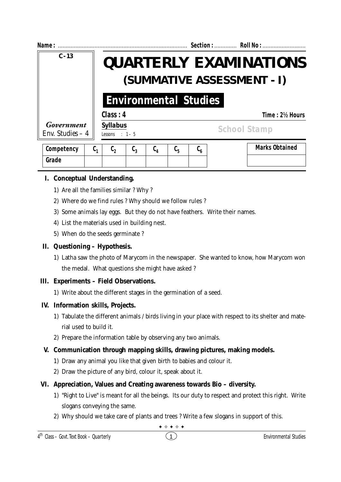| Name:                           |                             |                                                                                             |                                       |             |                                                              |  | Section:  Roll No :   |  |
|---------------------------------|-----------------------------|---------------------------------------------------------------------------------------------|---------------------------------------|-------------|--------------------------------------------------------------|--|-----------------------|--|
| $C - 13$                        |                             | <b>OUARTERLY EXAMINATIONS</b><br>(SUMMATIVE ASSESSMENT - I)<br><b>Environmental Studies</b> |                                       |             |                                                              |  |                       |  |
|                                 |                             |                                                                                             |                                       |             |                                                              |  |                       |  |
|                                 | Class: 4                    |                                                                                             |                                       |             |                                                              |  | Time: 2½ Hours        |  |
| Government<br>Env. Studies $-4$ |                             | <b>Syllabus</b><br><b>School Stamp</b><br>Lessons : $1-5$                                   |                                       |             |                                                              |  |                       |  |
| Competency                      | $C_{1}$<br>$\mathfrak{c}_2$ | $\mathfrak{c}_{3}$                                                                          | $\mathfrak{c}_{\scriptscriptstyle 4}$ | $c_{\rm s}$ | $\mathfrak{c}_{\scriptscriptstyle{\boldsymbol{\mathsf{6}}}}$ |  | <b>Marks Obtained</b> |  |

# **I. Conceptual Understanding.**

**Grade**

- 1) Are all the families similar ? Why ?
- 2) Where do we find rules ? Why should we follow rules ?
- 3) Some animals lay eggs. But they do not have feathers. Write their names.
- 4) List the materials used in building nest.
- 5) When do the seeds germinate ?

# **II. Questioning – Hypothesis.**

1) Latha saw the photo of Marycom in the newspaper. She wanted to know, how Marycom won the medal. What questions she might have asked ?

## **III. Experiments – Field Observations.**

1) Write about the different stages in the germination of a seed.

# **IV. Information skills, Projects.**

- 1) Tabulate the different animals / birds living in your place with respect to its shelter and material used to build it.
- 2) Prepare the information table by observing any two animals.

# **V. Communication through mapping skills, drawing pictures, making models.**

- 1) Draw any animal you like that given birth to babies and colour it.
- 2) Draw the picture of any bird, colour it, speak about it.

# **VI. Appreciation, Values and Creating awareness towards Bio – diversity.**

- 1) "Right to Live" is meant for all the beings. Its our duty to respect and protect this right. Write slogans conveying the same.
- 2) Why should we take care of plants and trees ? Write a few slogans in support of this.